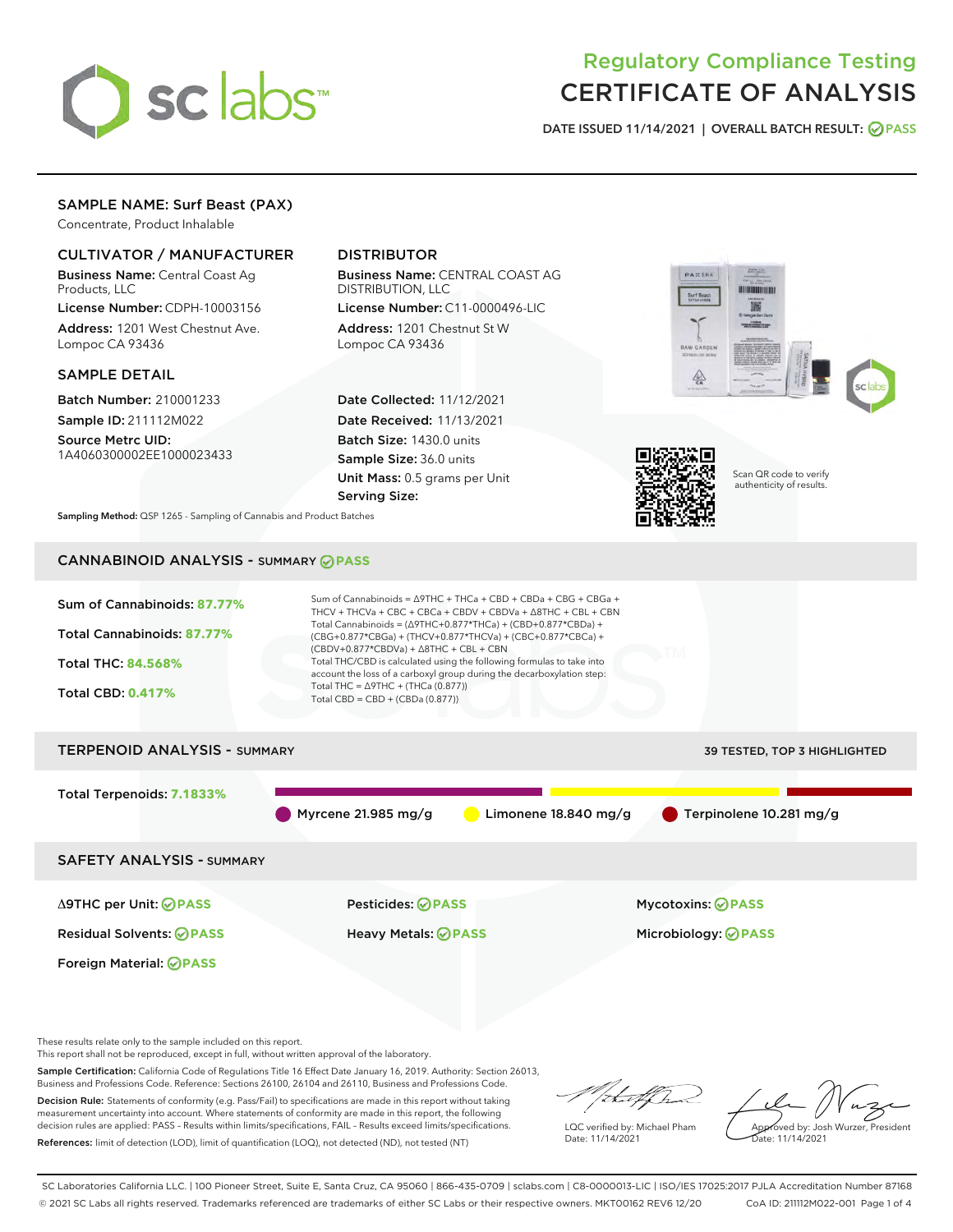

# Regulatory Compliance Testing CERTIFICATE OF ANALYSIS

DATE ISSUED 11/14/2021 | OVERALL BATCH RESULT: @ PASS

# SAMPLE NAME: Surf Beast (PAX)

Concentrate, Product Inhalable

# CULTIVATOR / MANUFACTURER

Business Name: Central Coast Ag Products, LLC

License Number: CDPH-10003156 Address: 1201 West Chestnut Ave. Lompoc CA 93436

#### SAMPLE DETAIL

Batch Number: 210001233 Sample ID: 211112M022

Source Metrc UID: 1A4060300002EE1000023433

# DISTRIBUTOR

Business Name: CENTRAL COAST AG DISTRIBUTION, LLC License Number: C11-0000496-LIC

Address: 1201 Chestnut St W Lompoc CA 93436

Date Collected: 11/12/2021 Date Received: 11/13/2021 Batch Size: 1430.0 units Sample Size: 36.0 units Unit Mass: 0.5 grams per Unit Serving Size:





Scan QR code to verify authenticity of results.

Sampling Method: QSP 1265 - Sampling of Cannabis and Product Batches

# CANNABINOID ANALYSIS - SUMMARY **PASS**



This report shall not be reproduced, except in full, without written approval of the laboratory.

Sample Certification: California Code of Regulations Title 16 Effect Date January 16, 2019. Authority: Section 26013, Business and Professions Code. Reference: Sections 26100, 26104 and 26110, Business and Professions Code.

Decision Rule: Statements of conformity (e.g. Pass/Fail) to specifications are made in this report without taking measurement uncertainty into account. Where statements of conformity are made in this report, the following decision rules are applied: PASS – Results within limits/specifications, FAIL – Results exceed limits/specifications. References: limit of detection (LOD), limit of quantification (LOQ), not detected (ND), not tested (NT)

that for

LQC verified by: Michael Pham Date: 11/14/2021

Approved by: Josh Wurzer, President ate: 11/14/2021

SC Laboratories California LLC. | 100 Pioneer Street, Suite E, Santa Cruz, CA 95060 | 866-435-0709 | sclabs.com | C8-0000013-LIC | ISO/IES 17025:2017 PJLA Accreditation Number 87168 © 2021 SC Labs all rights reserved. Trademarks referenced are trademarks of either SC Labs or their respective owners. MKT00162 REV6 12/20 CoA ID: 211112M022-001 Page 1 of 4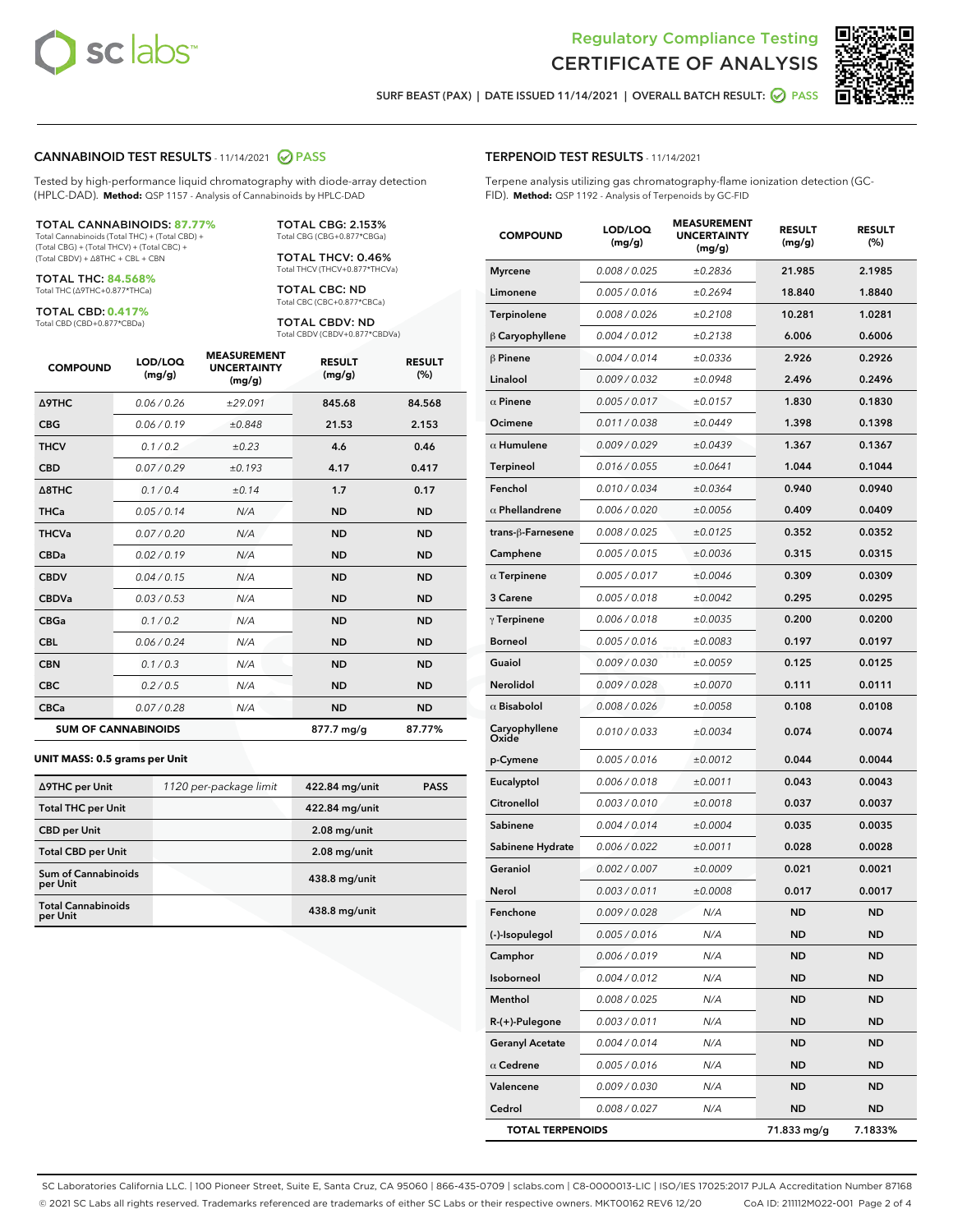

Terpene analysis utilizing gas chromatography-flame ionization detection (GC-



SURF BEAST (PAX) | DATE ISSUED 11/14/2021 | OVERALL BATCH RESULT: @ PASS

TERPENOID TEST RESULTS - 11/14/2021

FID). **Method:** QSP 1192 - Analysis of Terpenoids by GC-FID

### CANNABINOID TEST RESULTS - 11/14/2021 2 PASS

Tested by high-performance liquid chromatography with diode-array detection (HPLC-DAD). **Method:** QSP 1157 - Analysis of Cannabinoids by HPLC-DAD

#### TOTAL CANNABINOIDS: **87.77%**

Total Cannabinoids (Total THC) + (Total CBD) + (Total CBG) + (Total THCV) + (Total CBC) + (Total CBDV) + ∆8THC + CBL + CBN

TOTAL THC: **84.568%** Total THC (∆9THC+0.877\*THCa)

TOTAL CBD: **0.417%**

Total CBD (CBD+0.877\*CBDa)

TOTAL CBG: 2.153% Total CBG (CBG+0.877\*CBGa)

TOTAL THCV: 0.46% Total THCV (THCV+0.877\*THCVa)

TOTAL CBC: ND Total CBC (CBC+0.877\*CBCa)

TOTAL CBDV: ND Total CBDV (CBDV+0.877\*CBDVa)

| <b>COMPOUND</b>  | LOD/LOQ<br>(mg/g)          | <b>MEASUREMENT</b><br><b>UNCERTAINTY</b><br>(mg/g) | <b>RESULT</b><br>(mg/g) | <b>RESULT</b><br>(%) |
|------------------|----------------------------|----------------------------------------------------|-------------------------|----------------------|
| <b>A9THC</b>     | 0.06 / 0.26                | ±29.091                                            | 845.68                  | 84.568               |
| <b>CBG</b>       | 0.06/0.19                  | ±0.848                                             | 21.53                   | 2.153                |
| <b>THCV</b>      | 0.1 / 0.2                  | $\pm 0.23$                                         | 4.6                     | 0.46                 |
| <b>CBD</b>       | 0.07/0.29                  | ±0.193                                             | 4.17                    | 0.417                |
| $\triangle$ 8THC | 0.1/0.4                    | ±0.14                                              | 1.7                     | 0.17                 |
| <b>THCa</b>      | 0.05/0.14                  | N/A                                                | <b>ND</b>               | <b>ND</b>            |
| <b>THCVa</b>     | 0.07/0.20                  | N/A                                                | <b>ND</b>               | <b>ND</b>            |
| <b>CBDa</b>      | 0.02/0.19                  | N/A                                                | <b>ND</b>               | <b>ND</b>            |
| <b>CBDV</b>      | 0.04/0.15                  | N/A                                                | <b>ND</b>               | <b>ND</b>            |
| <b>CBDVa</b>     | 0.03/0.53                  | N/A                                                | <b>ND</b>               | <b>ND</b>            |
| <b>CBGa</b>      | 0.1 / 0.2                  | N/A                                                | <b>ND</b>               | <b>ND</b>            |
| <b>CBL</b>       | 0.06 / 0.24                | N/A                                                | <b>ND</b>               | <b>ND</b>            |
| <b>CBN</b>       | 0.1 / 0.3                  | N/A                                                | <b>ND</b>               | <b>ND</b>            |
| <b>CBC</b>       | 0.2 / 0.5                  | N/A                                                | <b>ND</b>               | <b>ND</b>            |
| <b>CBCa</b>      | 0.07/0.28                  | N/A                                                | <b>ND</b>               | <b>ND</b>            |
|                  | <b>SUM OF CANNABINOIDS</b> |                                                    | 877.7 mg/g              | 87.77%               |

#### **UNIT MASS: 0.5 grams per Unit**

| ∆9THC per Unit                        | 1120 per-package limit | 422.84 mg/unit  | <b>PASS</b> |
|---------------------------------------|------------------------|-----------------|-------------|
| <b>Total THC per Unit</b>             |                        | 422.84 mg/unit  |             |
| <b>CBD</b> per Unit                   |                        | $2.08$ mg/unit  |             |
| <b>Total CBD per Unit</b>             |                        | $2.08$ mg/unit  |             |
| Sum of Cannabinoids<br>per Unit       |                        | 438.8 mg/unit   |             |
| <b>Total Cannabinoids</b><br>per Unit |                        | $438.8$ mg/unit |             |

| <b>COMPOUND</b>         | LOD/LOQ<br>(mg/g) | <b>MEASUREMENT</b><br><b>UNCERTAINTY</b><br>(mg/g) | <b>RESULT</b><br>(mg/g) | <b>RESULT</b><br>(%) |
|-------------------------|-------------------|----------------------------------------------------|-------------------------|----------------------|
| <b>Myrcene</b>          | 0.008 / 0.025     | ±0.2836                                            | 21.985                  | 2.1985               |
| Limonene                | 0.005 / 0.016     | ±0.2694                                            | 18.840                  | 1.8840               |
| Terpinolene             | 0.008 / 0.026     | ±0.2108                                            | 10.281                  | 1.0281               |
| $\upbeta$ Caryophyllene | 0.004 / 0.012     | ±0.2138                                            | 6.006                   | 0.6006               |
| β Pinene                | 0.004 / 0.014     | ±0.0336                                            | 2.926                   | 0.2926               |
| Linalool                | 0.009 / 0.032     | ±0.0948                                            | 2.496                   | 0.2496               |
| $\alpha$ Pinene         | 0.005 / 0.017     | ±0.0157                                            | 1.830                   | 0.1830               |
| Ocimene                 | 0.011 / 0.038     | ±0.0449                                            | 1.398                   | 0.1398               |
| $\alpha$ Humulene       | 0.009/0.029       | ±0.0439                                            | 1.367                   | 0.1367               |
| Terpineol               | 0.016 / 0.055     | ±0.0641                                            | 1.044                   | 0.1044               |
| Fenchol                 | 0.010 / 0.034     | ±0.0364                                            | 0.940                   | 0.0940               |
| $\alpha$ Phellandrene   | 0.006 / 0.020     | ±0.0056                                            | 0.409                   | 0.0409               |
| trans-ß-Farnesene       | 0.008 / 0.025     | ±0.0125                                            | 0.352                   | 0.0352               |
| Camphene                | 0.005 / 0.015     | ±0.0036                                            | 0.315                   | 0.0315               |
| $\alpha$ Terpinene      | 0.005 / 0.017     | ±0.0046                                            | 0.309                   | 0.0309               |
| <b>3 Carene</b>         | 0.005 / 0.018     | ±0.0042                                            | 0.295                   | 0.0295               |
| $\gamma$ Terpinene      | 0.006 / 0.018     | ±0.0035                                            | 0.200                   | 0.0200               |
| Borneol                 | 0.005 / 0.016     | ±0.0083                                            | 0.197                   | 0.0197               |
| Guaiol                  | 0.009 / 0.030     | ±0.0059                                            | 0.125                   | 0.0125               |
| Nerolidol               | 0.009 / 0.028     | ±0.0070                                            | 0.111                   | 0.0111               |
| $\alpha$ Bisabolol      | 0.008 / 0.026     | ±0.0058                                            | 0.108                   | 0.0108               |
| Caryophyllene<br>Oxide  | 0.010 / 0.033     | ±0.0034                                            | 0.074                   | 0.0074               |
| p-Cymene                | 0.005 / 0.016     | ±0.0012                                            | 0.044                   | 0.0044               |
| Eucalyptol              | 0.006 / 0.018     | ±0.0011                                            | 0.043                   | 0.0043               |
| Citronellol             | 0.003 / 0.010     | ±0.0018                                            | 0.037                   | 0.0037               |
| Sabinene                | 0.004 / 0.014     | ±0.0004                                            | 0.035                   | 0.0035               |
| Sabinene Hydrate        | 0.006 / 0.022     | ±0.0011                                            | 0.028                   | 0.0028               |
| Geraniol                | 0.002 / 0.007     | ±0.0009                                            | 0.021                   | 0.0021               |
| Nerol                   | 0.003 / 0.011     | ±0.0008                                            | 0.017                   | 0.0017               |
| Fenchone                | 0.009 / 0.028     | N/A                                                | <b>ND</b>               | ND                   |
| (-)-Isopulegol          | 0.005 / 0.016     | N/A                                                | ND                      | ND                   |
| Camphor                 | 0.006 / 0.019     | N/A                                                | ND                      | <b>ND</b>            |
| Isoborneol              | 0.004 / 0.012     | N/A                                                | ND                      | ND                   |
| Menthol                 | 0.008 / 0.025     | N/A                                                | ND                      | ND                   |
| R-(+)-Pulegone          | 0.003 / 0.011     | N/A                                                | ND                      | <b>ND</b>            |
| <b>Geranyl Acetate</b>  | 0.004 / 0.014     | N/A                                                | ND                      | ND                   |
| $\alpha$ Cedrene        | 0.005 / 0.016     | N/A                                                | ND                      | ND                   |
| Valencene               | 0.009 / 0.030     | N/A                                                | ND                      | <b>ND</b>            |
| Cedrol                  | 0.008 / 0.027     | N/A                                                | ND                      | ND                   |

TOTAL TERPENOIDS 71.833 mg/g 7.1833%

SC Laboratories California LLC. | 100 Pioneer Street, Suite E, Santa Cruz, CA 95060 | 866-435-0709 | sclabs.com | C8-0000013-LIC | ISO/IES 17025:2017 PJLA Accreditation Number 87168 © 2021 SC Labs all rights reserved. Trademarks referenced are trademarks of either SC Labs or their respective owners. MKT00162 REV6 12/20 CoA ID: 211112M022-001 Page 2 of 4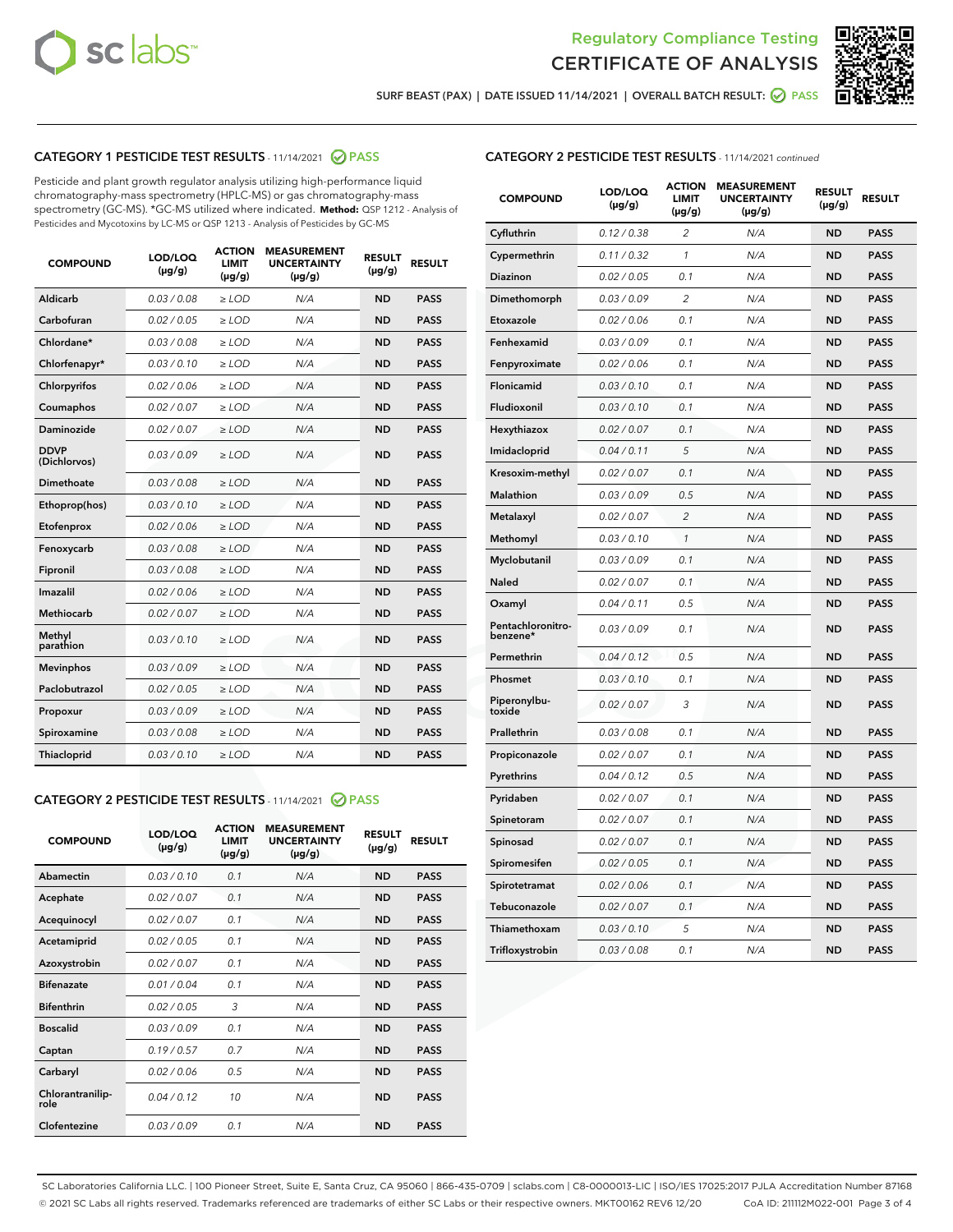



SURF BEAST (PAX) | DATE ISSUED 11/14/2021 | OVERALL BATCH RESULT:  $\bigcirc$  PASS

# CATEGORY 1 PESTICIDE TEST RESULTS - 11/14/2021 2 PASS

Pesticide and plant growth regulator analysis utilizing high-performance liquid chromatography-mass spectrometry (HPLC-MS) or gas chromatography-mass spectrometry (GC-MS). \*GC-MS utilized where indicated. **Method:** QSP 1212 - Analysis of Pesticides and Mycotoxins by LC-MS or QSP 1213 - Analysis of Pesticides by GC-MS

| <b>COMPOUND</b>             | LOD/LOQ<br>$(\mu g/g)$ | <b>ACTION</b><br><b>LIMIT</b><br>$(\mu g/g)$ | <b>MEASUREMENT</b><br><b>UNCERTAINTY</b><br>$(\mu g/g)$ | <b>RESULT</b><br>$(\mu g/g)$ | <b>RESULT</b> |
|-----------------------------|------------------------|----------------------------------------------|---------------------------------------------------------|------------------------------|---------------|
| Aldicarb                    | 0.03 / 0.08            | $\geq$ LOD                                   | N/A                                                     | <b>ND</b>                    | <b>PASS</b>   |
| Carbofuran                  | 0.02/0.05              | $>$ LOD                                      | N/A                                                     | <b>ND</b>                    | <b>PASS</b>   |
| Chlordane*                  | 0.03 / 0.08            | $\ge$ LOD                                    | N/A                                                     | <b>ND</b>                    | <b>PASS</b>   |
| Chlorfenapyr*               | 0.03/0.10              | $>$ LOD                                      | N/A                                                     | <b>ND</b>                    | <b>PASS</b>   |
| Chlorpyrifos                | 0.02 / 0.06            | $\ge$ LOD                                    | N/A                                                     | <b>ND</b>                    | <b>PASS</b>   |
| Coumaphos                   | 0.02 / 0.07            | $\ge$ LOD                                    | N/A                                                     | <b>ND</b>                    | <b>PASS</b>   |
| Daminozide                  | 0.02 / 0.07            | $\ge$ LOD                                    | N/A                                                     | <b>ND</b>                    | <b>PASS</b>   |
| <b>DDVP</b><br>(Dichlorvos) | 0.03/0.09              | $\ge$ LOD                                    | N/A                                                     | <b>ND</b>                    | <b>PASS</b>   |
| Dimethoate                  | 0.03/0.08              | $>$ LOD                                      | N/A                                                     | <b>ND</b>                    | <b>PASS</b>   |
| Ethoprop(hos)               | 0.03/0.10              | $\ge$ LOD                                    | N/A                                                     | <b>ND</b>                    | <b>PASS</b>   |
| Etofenprox                  | 0.02 / 0.06            | $\ge$ LOD                                    | N/A                                                     | <b>ND</b>                    | <b>PASS</b>   |
| Fenoxycarb                  | 0.03 / 0.08            | $\ge$ LOD                                    | N/A                                                     | <b>ND</b>                    | <b>PASS</b>   |
| Fipronil                    | 0.03/0.08              | $>$ LOD                                      | N/A                                                     | <b>ND</b>                    | <b>PASS</b>   |
| Imazalil                    | 0.02 / 0.06            | $\ge$ LOD                                    | N/A                                                     | <b>ND</b>                    | <b>PASS</b>   |
| <b>Methiocarb</b>           | 0.02 / 0.07            | $\ge$ LOD                                    | N/A                                                     | <b>ND</b>                    | <b>PASS</b>   |
| Methyl<br>parathion         | 0.03/0.10              | $\ge$ LOD                                    | N/A                                                     | <b>ND</b>                    | <b>PASS</b>   |
| <b>Mevinphos</b>            | 0.03/0.09              | $>$ LOD                                      | N/A                                                     | <b>ND</b>                    | <b>PASS</b>   |
| Paclobutrazol               | 0.02 / 0.05            | $\ge$ LOD                                    | N/A                                                     | <b>ND</b>                    | <b>PASS</b>   |
| Propoxur                    | 0.03/0.09              | $\ge$ LOD                                    | N/A                                                     | <b>ND</b>                    | <b>PASS</b>   |
| Spiroxamine                 | 0.03 / 0.08            | $\ge$ LOD                                    | N/A                                                     | <b>ND</b>                    | <b>PASS</b>   |
| Thiacloprid                 | 0.03/0.10              | $\ge$ LOD                                    | N/A                                                     | <b>ND</b>                    | <b>PASS</b>   |

# CATEGORY 2 PESTICIDE TEST RESULTS - 11/14/2021 @ PASS

| <b>COMPOUND</b>          | LOD/LOO<br>$(\mu g/g)$ | <b>ACTION</b><br>LIMIT<br>$(\mu g/g)$ | <b>MEASUREMENT</b><br><b>UNCERTAINTY</b><br>$(\mu g/g)$ | <b>RESULT</b><br>$(\mu g/g)$ | <b>RESULT</b> |  |
|--------------------------|------------------------|---------------------------------------|---------------------------------------------------------|------------------------------|---------------|--|
| Abamectin                | 0.03/0.10              | 0.1                                   | N/A                                                     | <b>ND</b>                    | <b>PASS</b>   |  |
| Acephate                 | 0.02/0.07              | 0.1                                   | N/A                                                     | <b>ND</b>                    | <b>PASS</b>   |  |
| Acequinocyl              | 0.02/0.07              | 0.1                                   | N/A                                                     | <b>ND</b>                    | <b>PASS</b>   |  |
| Acetamiprid              | 0.02 / 0.05            | 0.1                                   | N/A                                                     | <b>ND</b>                    | <b>PASS</b>   |  |
| Azoxystrobin             | 0.02/0.07              | 0.1                                   | N/A                                                     | <b>ND</b>                    | <b>PASS</b>   |  |
| <b>Bifenazate</b>        | 0.01 / 0.04            | 0.1                                   | N/A                                                     | <b>ND</b>                    | <b>PASS</b>   |  |
| <b>Bifenthrin</b>        | 0.02 / 0.05            | 3                                     | N/A                                                     | <b>ND</b>                    | <b>PASS</b>   |  |
| <b>Boscalid</b>          | 0.03/0.09              | 0.1                                   | N/A                                                     | <b>ND</b>                    | <b>PASS</b>   |  |
| Captan                   | 0.19/0.57              | 0.7                                   | N/A                                                     | <b>ND</b>                    | <b>PASS</b>   |  |
| Carbaryl                 | 0.02/0.06              | 0.5                                   | N/A                                                     | <b>ND</b>                    | <b>PASS</b>   |  |
| Chlorantranilip-<br>role | 0.04/0.12              | 10                                    | N/A                                                     | <b>ND</b>                    | <b>PASS</b>   |  |
| Clofentezine             | 0.03/0.09              | 0.1                                   | N/A                                                     | <b>ND</b>                    | <b>PASS</b>   |  |

| <b>CATEGORY 2 PESTICIDE TEST RESULTS</b> - 11/14/2021 continued |  |  |
|-----------------------------------------------------------------|--|--|
|                                                                 |  |  |

| <b>COMPOUND</b>               | LOD/LOQ<br>(µg/g) | <b>ACTION</b><br>LIMIT<br>(µg/g) | <b>MEASUREMENT</b><br><b>UNCERTAINTY</b><br>(µg/g) | <b>RESULT</b><br>(µg/g) | <b>RESULT</b> |
|-------------------------------|-------------------|----------------------------------|----------------------------------------------------|-------------------------|---------------|
| Cyfluthrin                    | 0.12 / 0.38       | $\overline{c}$                   | N/A                                                | <b>ND</b>               | <b>PASS</b>   |
| Cypermethrin                  | 0.11/0.32         | 1                                | N/A                                                | <b>ND</b>               | <b>PASS</b>   |
| <b>Diazinon</b>               | 0.02 / 0.05       | 0.1                              | N/A                                                | <b>ND</b>               | <b>PASS</b>   |
| Dimethomorph                  | 0.03 / 0.09       | 2                                | N/A                                                | <b>ND</b>               | <b>PASS</b>   |
| Etoxazole                     | 0.02 / 0.06       | 0.1                              | N/A                                                | <b>ND</b>               | <b>PASS</b>   |
| Fenhexamid                    | 0.03 / 0.09       | 0.1                              | N/A                                                | <b>ND</b>               | <b>PASS</b>   |
| Fenpyroximate                 | 0.02 / 0.06       | 0.1                              | N/A                                                | <b>ND</b>               | <b>PASS</b>   |
| Flonicamid                    | 0.03 / 0.10       | 0.1                              | N/A                                                | <b>ND</b>               | <b>PASS</b>   |
| Fludioxonil                   | 0.03/0.10         | 0.1                              | N/A                                                | <b>ND</b>               | <b>PASS</b>   |
| Hexythiazox                   | 0.02 / 0.07       | 0.1                              | N/A                                                | <b>ND</b>               | <b>PASS</b>   |
| Imidacloprid                  | 0.04 / 0.11       | 5                                | N/A                                                | <b>ND</b>               | <b>PASS</b>   |
| Kresoxim-methyl               | 0.02 / 0.07       | 0.1                              | N/A                                                | <b>ND</b>               | <b>PASS</b>   |
| <b>Malathion</b>              | 0.03 / 0.09       | 0.5                              | N/A                                                | <b>ND</b>               | <b>PASS</b>   |
| Metalaxyl                     | 0.02 / 0.07       | $\overline{c}$                   | N/A                                                | <b>ND</b>               | <b>PASS</b>   |
| Methomyl                      | 0.03 / 0.10       | 1                                | N/A                                                | <b>ND</b>               | <b>PASS</b>   |
| Myclobutanil                  | 0.03/0.09         | 0.1                              | N/A                                                | <b>ND</b>               | <b>PASS</b>   |
| Naled                         | 0.02 / 0.07       | 0.1                              | N/A                                                | <b>ND</b>               | <b>PASS</b>   |
| Oxamyl                        | 0.04 / 0.11       | 0.5                              | N/A                                                | <b>ND</b>               | <b>PASS</b>   |
| Pentachloronitro-<br>benzene* | 0.03/0.09         | 0.1                              | N/A                                                | <b>ND</b>               | <b>PASS</b>   |
| Permethrin                    | 0.04 / 0.12       | 0.5                              | N/A                                                | <b>ND</b>               | <b>PASS</b>   |
| Phosmet                       | 0.03 / 0.10       | 0.1                              | N/A                                                | <b>ND</b>               | <b>PASS</b>   |
| Piperonylbu-<br>toxide        | 0.02 / 0.07       | 3                                | N/A                                                | <b>ND</b>               | <b>PASS</b>   |
| Prallethrin                   | 0.03 / 0.08       | 0.1                              | N/A                                                | <b>ND</b>               | <b>PASS</b>   |
| Propiconazole                 | 0.02 / 0.07       | 0.1                              | N/A                                                | <b>ND</b>               | <b>PASS</b>   |
| Pyrethrins                    | 0.04 / 0.12       | 0.5                              | N/A                                                | <b>ND</b>               | <b>PASS</b>   |
| Pyridaben                     | 0.02 / 0.07       | 0.1                              | N/A                                                | <b>ND</b>               | <b>PASS</b>   |
| Spinetoram                    | 0.02 / 0.07       | 0.1                              | N/A                                                | <b>ND</b>               | <b>PASS</b>   |
| Spinosad                      | 0.02 / 0.07       | 0.1                              | N/A                                                | <b>ND</b>               | <b>PASS</b>   |
| Spiromesifen                  | 0.02 / 0.05       | 0.1                              | N/A                                                | <b>ND</b>               | <b>PASS</b>   |
| Spirotetramat                 | 0.02 / 0.06       | 0.1                              | N/A                                                | <b>ND</b>               | <b>PASS</b>   |
| Tebuconazole                  | 0.02 / 0.07       | 0.1                              | N/A                                                | <b>ND</b>               | <b>PASS</b>   |
| Thiamethoxam                  | 0.03 / 0.10       | 5                                | N/A                                                | <b>ND</b>               | <b>PASS</b>   |
| Trifloxystrobin               | 0.03 / 0.08       | 0.1                              | N/A                                                | <b>ND</b>               | <b>PASS</b>   |

SC Laboratories California LLC. | 100 Pioneer Street, Suite E, Santa Cruz, CA 95060 | 866-435-0709 | sclabs.com | C8-0000013-LIC | ISO/IES 17025:2017 PJLA Accreditation Number 87168 © 2021 SC Labs all rights reserved. Trademarks referenced are trademarks of either SC Labs or their respective owners. MKT00162 REV6 12/20 CoA ID: 211112M022-001 Page 3 of 4